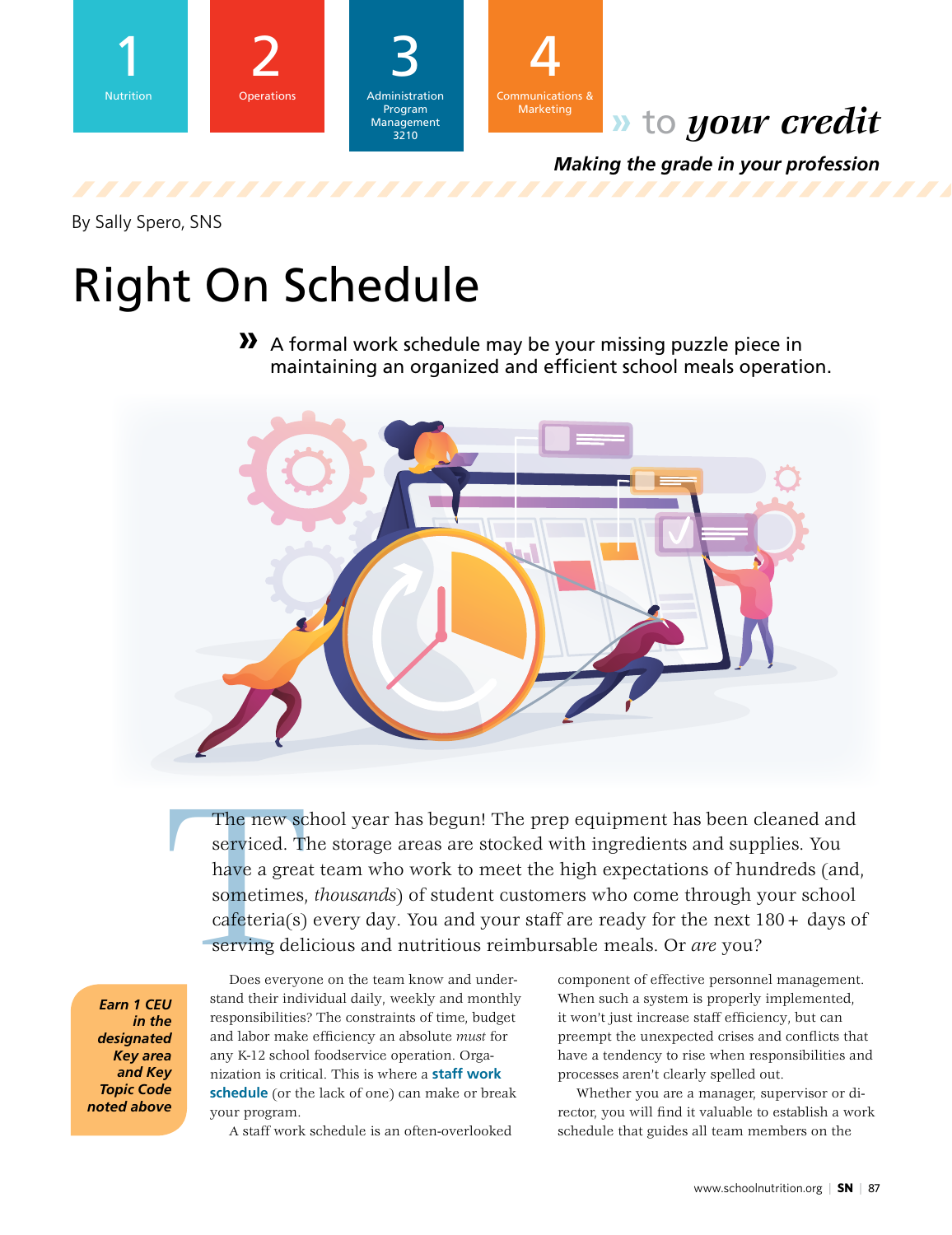



# **»** to *your credit*

*Making the grade in your profession*

By Sally Spero, SNS

# Right On Schedule

**»** A formal work schedule may be your missing puzzle piece in maintaining an organized and efficient school meals operation.



The new sc<br>serviced. Ti<br>have a grea<br>sometimes,<br>cafeteria(s)<br>serving deli<br>Does everyo<br>stand their indi The new school year has begun! The prep equipment has been cleaned and serviced. The storage areas are stocked with ingredients and supplies. You have a great team who work to meet the high expectations of hundreds (and, sometimes, *thousands*) of student customers who come through your school  $cafeteria(s)$  every day. You and your staff are ready for the next  $180 + days$  of serving delicious and nutritious reimbursable meals. Or *are* you?

*Earn 1 CEU in the designated Key area and Key Topic Code noted above*

Does everyone on the team know and understand their individual daily, weekly and monthly responsibilities? The constraints of time, budget and labor make efficiency an absolute *must* for any K-12 school foodservice operation. Organization is critical. This is where a **staff work schedule** (or the lack of one) can make or break your program.

A staff work schedule is an often-overlooked

component of effective personnel management. When such a system is properly implemented, it won't just increase staff efficiency, but can preempt the unexpected crises and conflicts that have a tendency to rise when responsibilities and processes aren't clearly spelled out.

Whether you are a manager, supervisor or director, you will find it valuable to establish a work schedule that guides all team members on the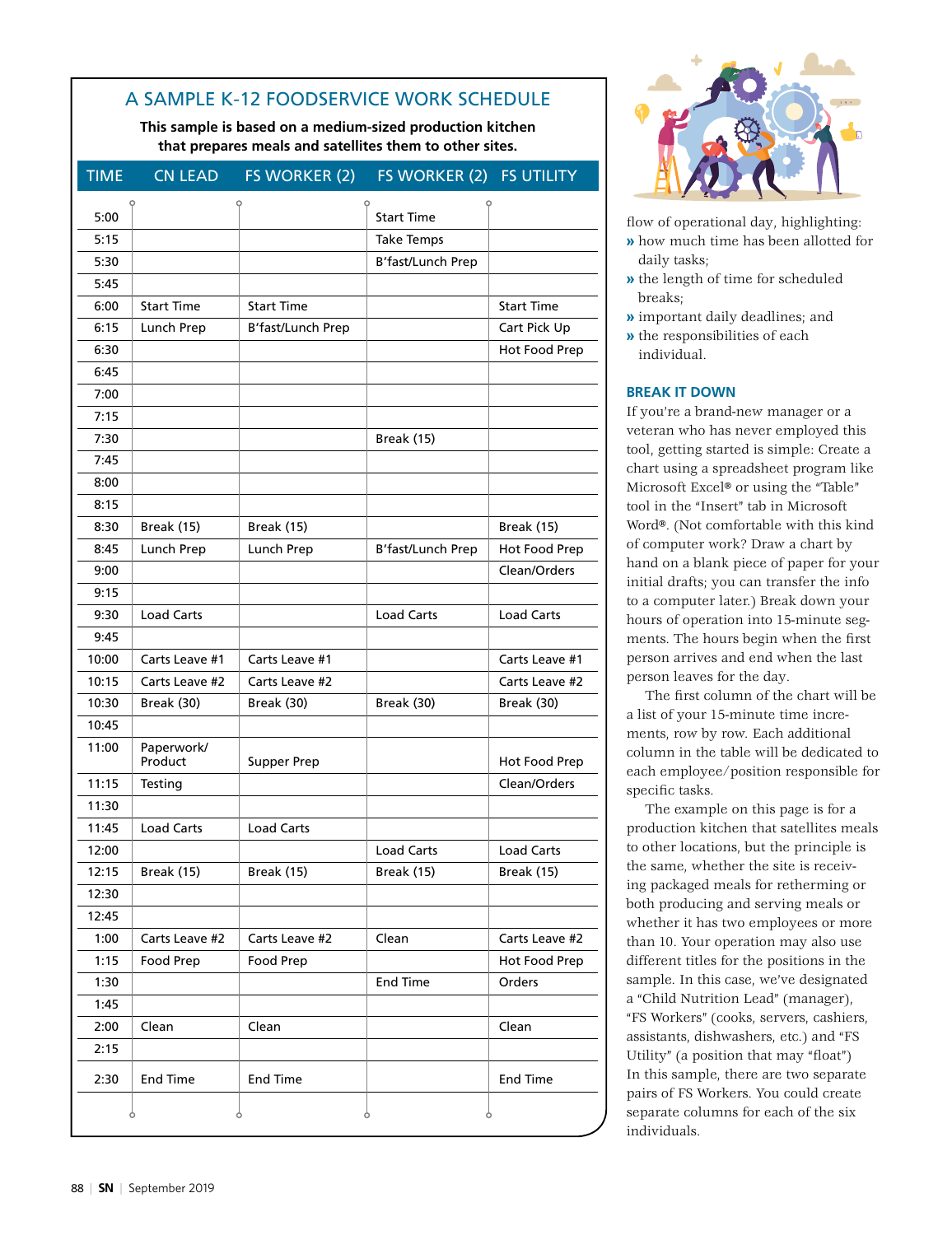## A SAMPLE K-12 FOODSERVICE WORK SCHEDULE

**This sample is based on a medium-sized production kitchen that prepares meals and satellites them to other sites.** 

| <b>TIME</b> | <b>CN LEAD</b>        | FS WORKER (2)      | FS WORKER (2) FS UTILITY |                   |
|-------------|-----------------------|--------------------|--------------------------|-------------------|
|             |                       |                    |                          |                   |
| 5:00        |                       |                    | <b>Start Time</b>        |                   |
| 5:15        |                       |                    | <b>Take Temps</b>        |                   |
| 5:30        |                       |                    | B'fast/Lunch Prep        |                   |
| 5:45        |                       |                    |                          |                   |
| 6:00        | <b>Start Time</b>     | <b>Start Time</b>  |                          | <b>Start Time</b> |
| 6:15        | Lunch Prep            | B'fast/Lunch Prep  |                          | Cart Pick Up      |
| 6:30        |                       |                    |                          | Hot Food Prep     |
| 6:45        |                       |                    |                          |                   |
| 7:00        |                       |                    |                          |                   |
| 7:15        |                       |                    |                          |                   |
| 7:30        |                       |                    | <b>Break (15)</b>        |                   |
| 7:45        |                       |                    |                          |                   |
| 8:00        |                       |                    |                          |                   |
| 8:15        |                       |                    |                          |                   |
| 8:30        | <b>Break (15)</b>     | <b>Break (15)</b>  |                          | <b>Break (15)</b> |
| 8:45        | Lunch Prep            | Lunch Prep         | B'fast/Lunch Prep        | Hot Food Prep     |
| 9:00        |                       |                    |                          | Clean/Orders      |
| 9:15        |                       |                    |                          |                   |
| 9:30        | <b>Load Carts</b>     |                    | <b>Load Carts</b>        | <b>Load Carts</b> |
| 9:45        |                       |                    |                          |                   |
| 10:00       | Carts Leave #1        | Carts Leave #1     |                          | Carts Leave #1    |
| 10:15       | Carts Leave #2        | Carts Leave #2     |                          | Carts Leave #2    |
| 10:30       | Break (30)            | Break (30)         | Break (30)               | Break (30)        |
| 10:45       |                       |                    |                          |                   |
| 11:00       | Paperwork/<br>Product | <b>Supper Prep</b> |                          | Hot Food Prep     |
| 11:15       | Testing               |                    |                          | Clean/Orders      |
| 11:30       |                       |                    |                          |                   |
| 11:45       | <b>Load Carts</b>     | <b>Load Carts</b>  |                          |                   |
| 12:00       |                       |                    | <b>Load Carts</b>        | <b>Load Carts</b> |
| 12:15       | <b>Break (15)</b>     | <b>Break (15)</b>  | <b>Break (15)</b>        | <b>Break (15)</b> |
| 12:30       |                       |                    |                          |                   |
| 12:45       |                       |                    |                          |                   |
| 1:00        | Carts Leave #2        | Carts Leave #2     | Clean                    | Carts Leave #2    |
| 1:15        | Food Prep             | Food Prep          |                          | Hot Food Prep     |
| 1:30        |                       |                    | <b>End Time</b>          | Orders            |
| 1:45        |                       |                    |                          |                   |
| 2:00        | Clean                 | Clean              |                          | Clean             |
| 2:15        |                       |                    |                          |                   |
| 2:30        | <b>End Time</b>       | <b>End Time</b>    |                          | <b>End Time</b>   |
|             |                       |                    |                          |                   |



flow of operational day, highlighting:

- **»** how much time has been allotted for daily tasks;
- **»** the length of time for scheduled breaks;
- **»** important daily deadlines; and **»** the responsibilities of each individual.

#### **BREAK IT DOWN**

If you're a brand-new manager or a veteran who has never employed this tool, getting started is simple: Create a chart using a spreadsheet program like Microsoft Excel® or using the "Table" tool in the "Insert" tab in Microsoft Word®. (Not comfortable with this kind of computer work? Draw a chart by hand on a blank piece of paper for your initial drafts; you can transfer the info to a computer later.) Break down your hours of operation into 15-minute segments. The hours begin when the first person arrives and end when the last person leaves for the day.

The first column of the chart will be a list of your 15-minute time increments, row by row. Each additional column in the table will be dedicated to each employee/position responsible for specific tasks.

The example on this page is for a production kitchen that satellites meals to other locations, but the principle is the same, whether the site is receiving packaged meals for retherming or both producing and serving meals or whether it has two employees or more than 10. Your operation may also use different titles for the positions in the sample. In this case, we've designated a "Child Nutrition Lead" (manager), "FS Workers" (cooks, servers, cashiers, assistants, dishwashers, etc.) and "FS Utility" (a position that may "float") In this sample, there are two separate pairs of FS Workers. You could create separate columns for each of the six individuals.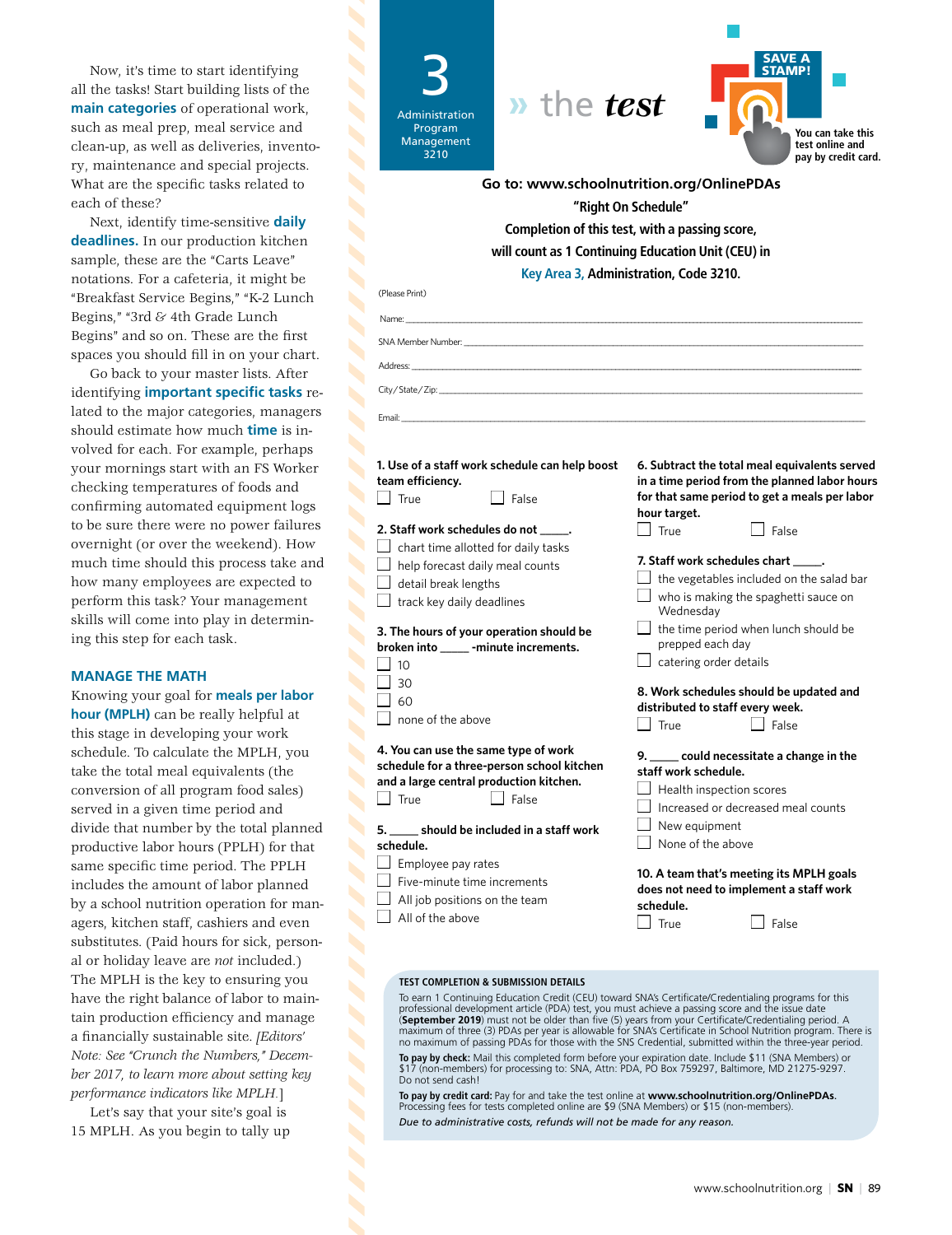Now, it's time to start identifying all the tasks! Start building lists of the **main categories** of operational work, such as meal prep, meal service and clean-up, as well as deliveries, inventory, maintenance and special projects. What are the specific tasks related to each of these?

Next, identify time-sensitive **daily deadlines.** In our production kitchen sample, these are the "Carts Leave" notations. For a cafeteria, it might be "Breakfast Service Begins," "K-2 Lunch Begins," "3rd & 4th Grade Lunch Begins" and so on. These are the first spaces you should fill in on your chart.

Go back to your master lists. After identifying **important specific tasks** related to the major categories, managers should estimate how much **time** is involved for each. For example, perhaps your mornings start with an FS Worker checking temperatures of foods and confirming automated equipment logs to be sure there were no power failures overnight (or over the weekend). How much time should this process take and how many employees are expected to perform this task? Your management skills will come into play in determining this step for each task.

#### **MANAGE THE MATH**

Knowing your goal for **meals per labor hour (MPLH)** can be really helpful at this stage in developing your work schedule. To calculate the MPLH, you take the total meal equivalents (the conversion of all program food sales) served in a given time period and divide that number by the total planned productive labor hours (PPLH) for that same specific time period. The PPLH includes the amount of labor planned by a school nutrition operation for managers, kitchen staff, cashiers and even substitutes. (Paid hours for sick, personal or holiday leave are *not* included.) The MPLH is the key to ensuring you have the right balance of labor to maintain production efficiency and manage a financially sustainable site. *[Editors' Note: See "Crunch the Numbers," December 2017, to learn more about setting key performance indicators like MPLH.*]

Let's say that your site's goal is 15 MPLH. As you begin to tally up

| <i>w</i> the test<br>Administration<br>Program<br>Management<br>3210                                                                                                                                                                                                                                                                                                                                                                                    | You can take this<br>test online and<br>pay by credit card.                                                                                                                                                                                                                                                                                                                                                                                                                                                                                                                                |  |  |  |  |
|---------------------------------------------------------------------------------------------------------------------------------------------------------------------------------------------------------------------------------------------------------------------------------------------------------------------------------------------------------------------------------------------------------------------------------------------------------|--------------------------------------------------------------------------------------------------------------------------------------------------------------------------------------------------------------------------------------------------------------------------------------------------------------------------------------------------------------------------------------------------------------------------------------------------------------------------------------------------------------------------------------------------------------------------------------------|--|--|--|--|
| Go to: www.schoolnutrition.org/OnlinePDAs                                                                                                                                                                                                                                                                                                                                                                                                               |                                                                                                                                                                                                                                                                                                                                                                                                                                                                                                                                                                                            |  |  |  |  |
| "Right On Schedule"                                                                                                                                                                                                                                                                                                                                                                                                                                     |                                                                                                                                                                                                                                                                                                                                                                                                                                                                                                                                                                                            |  |  |  |  |
| Completion of this test, with a passing score,                                                                                                                                                                                                                                                                                                                                                                                                          |                                                                                                                                                                                                                                                                                                                                                                                                                                                                                                                                                                                            |  |  |  |  |
| will count as 1 Continuing Education Unit (CEU) in                                                                                                                                                                                                                                                                                                                                                                                                      |                                                                                                                                                                                                                                                                                                                                                                                                                                                                                                                                                                                            |  |  |  |  |
|                                                                                                                                                                                                                                                                                                                                                                                                                                                         | Key Area 3, Administration, Code 3210.                                                                                                                                                                                                                                                                                                                                                                                                                                                                                                                                                     |  |  |  |  |
| (Please Print)                                                                                                                                                                                                                                                                                                                                                                                                                                          |                                                                                                                                                                                                                                                                                                                                                                                                                                                                                                                                                                                            |  |  |  |  |
| Name:                                                                                                                                                                                                                                                                                                                                                                                                                                                   |                                                                                                                                                                                                                                                                                                                                                                                                                                                                                                                                                                                            |  |  |  |  |
|                                                                                                                                                                                                                                                                                                                                                                                                                                                         |                                                                                                                                                                                                                                                                                                                                                                                                                                                                                                                                                                                            |  |  |  |  |
| Address: Analysis and the contract of the contract of the contract of the contract of the contract of the contract of the contract of the contract of the contract of the contract of the contract of the contract of the cont                                                                                                                                                                                                                          |                                                                                                                                                                                                                                                                                                                                                                                                                                                                                                                                                                                            |  |  |  |  |
| City/State/Zip: 2008                                                                                                                                                                                                                                                                                                                                                                                                                                    |                                                                                                                                                                                                                                                                                                                                                                                                                                                                                                                                                                                            |  |  |  |  |
| Email:                                                                                                                                                                                                                                                                                                                                                                                                                                                  |                                                                                                                                                                                                                                                                                                                                                                                                                                                                                                                                                                                            |  |  |  |  |
| 1. Use of a staff work schedule can help boost<br>team efficiency.<br>True<br><b>False</b><br>2. Staff work schedules do not _____.<br>$\perp$ chart time allotted for daily tasks<br>help forecast daily meal counts<br>detail break lengths<br>track key daily deadlines<br>3. The hours of your operation should be<br>broken into ______ -minute increments.<br>$\vert$ 10<br>30<br>60<br>none of the above<br>4. You can use the same type of work | 6. Subtract the total meal equivalents served<br>in a time period from the planned labor hours<br>for that same period to get a meals per labor<br>hour target.<br>False<br><b>True</b><br>7. Staff work schedules chart _____.<br>$\Box$ the vegetables included on the salad bar<br>$\perp$ who is making the spaghetti sauce on<br>Wednesday<br>$\perp$ the time period when lunch should be<br>prepped each day<br>catering order details<br>8. Work schedules should be updated and<br>distributed to staff every week.<br>True<br>False<br>9. ____ could necessitate a change in the |  |  |  |  |
| schedule for a three-person school kitchen<br>and a large central production kitchen.<br>$\vert$ True<br>False<br>5. _____ should be included in a staff work<br>schedule.<br>$\Box$ Employee pay rates<br>Five-minute time increments<br>All job positions on the team<br>All of the above                                                                                                                                                             | staff work schedule.<br>Health inspection scores<br>Increased or decreased meal counts<br>New equipment<br>None of the above<br>10. A team that's meeting its MPLH goals<br>does not need to implement a staff work<br>schedule.<br>True<br>False                                                                                                                                                                                                                                                                                                                                          |  |  |  |  |

#### **TEST COMPLETION & SUBMISSION DETAILS**

 $\overline{\phantom{a}}$ 

To earn 1 Continuing Education Credit (CEU) toward SNA's Certificate/Credentialing programs for this professional development article (PDA) test, you must achieve a passing score and the issue date (**September 2019**) must not be older than five (5) years from your Certificate/Credentialing period. A maximum of three (3) PDAs per year is allowable for SNA's Certificate in School Nutrition program. There is no maximum of passing PDAs for those with the SNS Credential, submitted within the three-year period.

**To pay by check:** Mail this completed form before your expiration date. Include \$11 (SNA Members) or (non-members) for processing to: SNA, Attn: PDA, PO Box 759297, Baltimore, MD 21275-9297. Do not send cash!

**To pay by credit card:** Pay for and take the test online at **www.schoolnutrition.org/OnlinePDAs**. Processing fees for tests completed online are \$9 (SNA Members) or \$15 (non-members). *Due to administrative costs, refunds will not be made for any reason.*